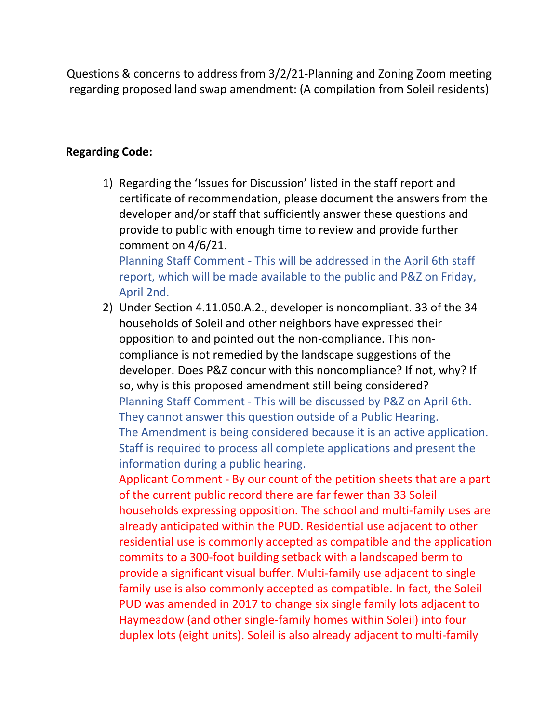Questions & concerns to address from 3/2/21-Planning and Zoning Zoom meeting regarding proposed land swap amendment: (A compilation from Soleil residents)

## **Regarding Code:**

1) Regarding the 'Issues for Discussion' listed in the staff report and certificate of recommendation, please document the answers from the developer and/or staff that sufficiently answer these questions and provide to public with enough time to review and provide further comment on 4/6/21.

Planning Staff Comment - This will be addressed in the April 6th staff report, which will be made available to the public and P&Z on Friday, April 2nd.

2) Under Section 4.11.050.A.2., developer is noncompliant. 33 of the 34 households of Soleil and other neighbors have expressed their opposition to and pointed out the non-compliance. This noncompliance is not remedied by the landscape suggestions of the developer. Does P&Z concur with this noncompliance? If not, why? If so, why is this proposed amendment still being considered? Planning Staff Comment - This will be discussed by P&Z on April 6th. They cannot answer this question outside of a Public Hearing. The Amendment is being considered because it is an active application. Staff is required to process all complete applications and present the information during a public hearing.

Applicant Comment - By our count of the petition sheets that are a part of the current public record there are far fewer than 33 Soleil households expressing opposition. The school and multi-family uses are already anticipated within the PUD. Residential use adjacent to other residential use is commonly accepted as compatible and the application commits to a 300-foot building setback with a landscaped berm to provide a significant visual buffer. Multi-family use adjacent to single family use is also commonly accepted as compatible. In fact, the Soleil PUD was amended in 2017 to change six single family lots adjacent to Haymeadow (and other single-family homes within Soleil) into four duplex lots (eight units). Soleil is also already adjacent to multi-family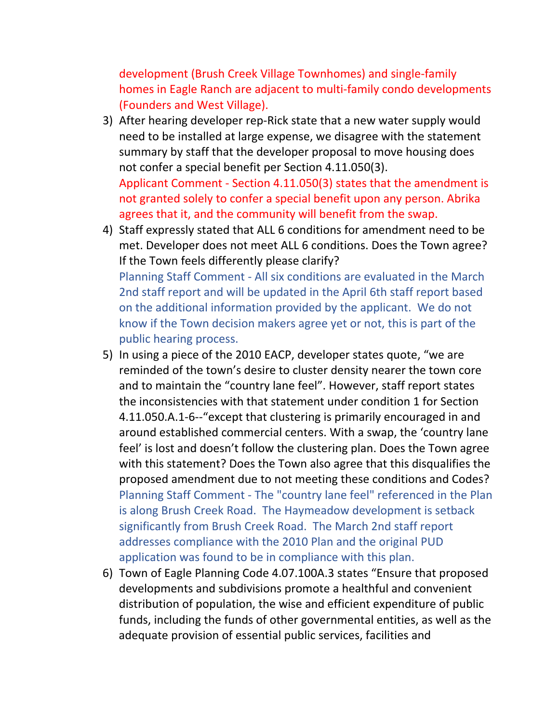development (Brush Creek Village Townhomes) and single-family homes in Eagle Ranch are adjacent to multi-family condo developments (Founders and West Village).

3) After hearing developer rep-Rick state that a new water supply would need to be installed at large expense, we disagree with the statement summary by staff that the developer proposal to move housing does not confer a special benefit per Section 4.11.050(3). Applicant Comment - Section 4.11.050(3) states that the amendment is

not granted solely to confer a special benefit upon any person. Abrika agrees that it, and the community will benefit from the swap.

- 4) Staff expressly stated that ALL 6 conditions for amendment need to be met. Developer does not meet ALL 6 conditions. Does the Town agree? If the Town feels differently please clarify? Planning Staff Comment - All six conditions are evaluated in the March 2nd staff report and will be updated in the April 6th staff report based on the additional information provided by the applicant. We do not know if the Town decision makers agree yet or not, this is part of the public hearing process.
- 5) In using a piece of the 2010 EACP, developer states quote, "we are reminded of the town's desire to cluster density nearer the town core and to maintain the "country lane feel". However, staff report states the inconsistencies with that statement under condition 1 for Section 4.11.050.A.1-6--"except that clustering is primarily encouraged in and around established commercial centers. With a swap, the 'country lane feel' is lost and doesn't follow the clustering plan. Does the Town agree with this statement? Does the Town also agree that this disqualifies the proposed amendment due to not meeting these conditions and Codes? Planning Staff Comment - The "country lane feel" referenced in the Plan is along Brush Creek Road. The Haymeadow development is setback significantly from Brush Creek Road. The March 2nd staff report addresses compliance with the 2010 Plan and the original PUD application was found to be in compliance with this plan.
- 6) Town of Eagle Planning Code 4.07.100A.3 states "Ensure that proposed developments and subdivisions promote a healthful and convenient distribution of population, the wise and efficient expenditure of public funds, including the funds of other governmental entities, as well as the adequate provision of essential public services, facilities and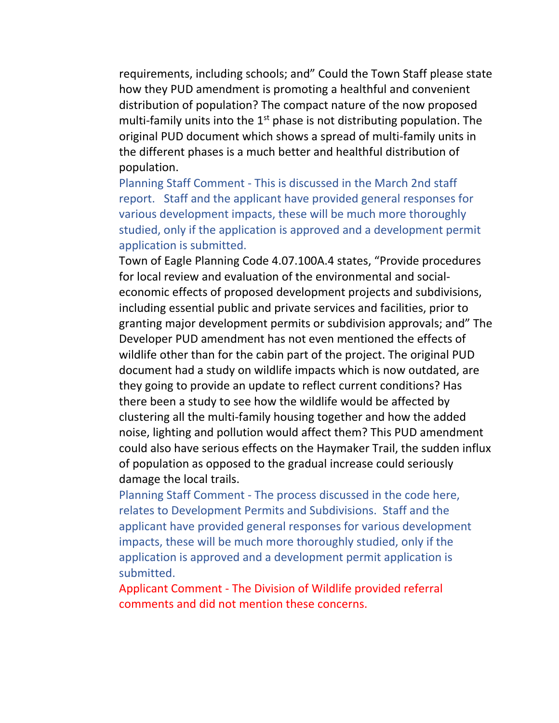requirements, including schools; and" Could the Town Staff please state how they PUD amendment is promoting a healthful and convenient distribution of population? The compact nature of the now proposed multi-family units into the 1<sup>st</sup> phase is not distributing population. The original PUD document which shows a spread of multi-family units in the different phases is a much better and healthful distribution of population.

Planning Staff Comment - This is discussed in the March 2nd staff report. Staff and the applicant have provided general responses for various development impacts, these will be much more thoroughly studied, only if the application is approved and a development permit application is submitted.

Town of Eagle Planning Code 4.07.100A.4 states, "Provide procedures for local review and evaluation of the environmental and socialeconomic effects of proposed development projects and subdivisions, including essential public and private services and facilities, prior to granting major development permits or subdivision approvals; and" The Developer PUD amendment has not even mentioned the effects of wildlife other than for the cabin part of the project. The original PUD document had a study on wildlife impacts which is now outdated, are they going to provide an update to reflect current conditions? Has there been a study to see how the wildlife would be affected by clustering all the multi-family housing together and how the added noise, lighting and pollution would affect them? This PUD amendment could also have serious effects on the Haymaker Trail, the sudden influx of population as opposed to the gradual increase could seriously damage the local trails.

Planning Staff Comment - The process discussed in the code here, relates to Development Permits and Subdivisions. Staff and the applicant have provided general responses for various development impacts, these will be much more thoroughly studied, only if the application is approved and a development permit application is submitted.

Applicant Comment - The Division of Wildlife provided referral comments and did not mention these concerns.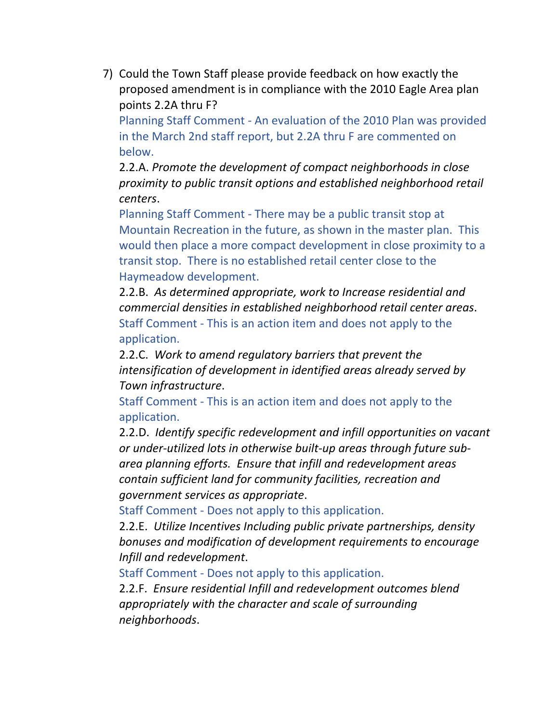7) Could the Town Staff please provide feedback on how exactly the proposed amendment is in compliance with the 2010 Eagle Area plan points 2.2A thru F?

Planning Staff Comment - An evaluation of the 2010 Plan was provided in the March 2nd staff report, but 2.2A thru F are commented on below.

2.2.A. *Promote the development of compact neighborhoods in close proximity to public transit options and established neighborhood retail centers*.

Planning Staff Comment - There may be a public transit stop at Mountain Recreation in the future, as shown in the master plan. This would then place a more compact development in close proximity to a transit stop. There is no established retail center close to the Haymeadow development.

2.2.B. *As determined appropriate, work to Increase residential and commercial densities in established neighborhood retail center areas*. Staff Comment - This is an action item and does not apply to the application.

2.2.C. *Work to amend regulatory barriers that prevent the intensification of development in identified areas already served by Town infrastructure*.

Staff Comment - This is an action item and does not apply to the application.

2.2.D. *Identify specific redevelopment and infill opportunities on vacant or under-utilized lots in otherwise built-up areas through future subarea planning efforts. Ensure that infill and redevelopment areas contain sufficient land for community facilities, recreation and government services as appropriate*.

Staff Comment - Does not apply to this application.

2.2.E. *Utilize Incentives Including public private partnerships, density bonuses and modification of development requirements to encourage Infill and redevelopment*.

Staff Comment - Does not apply to this application.

2.2.F. *Ensure residential Infill and redevelopment outcomes blend appropriately with the character and scale of surrounding neighborhoods*.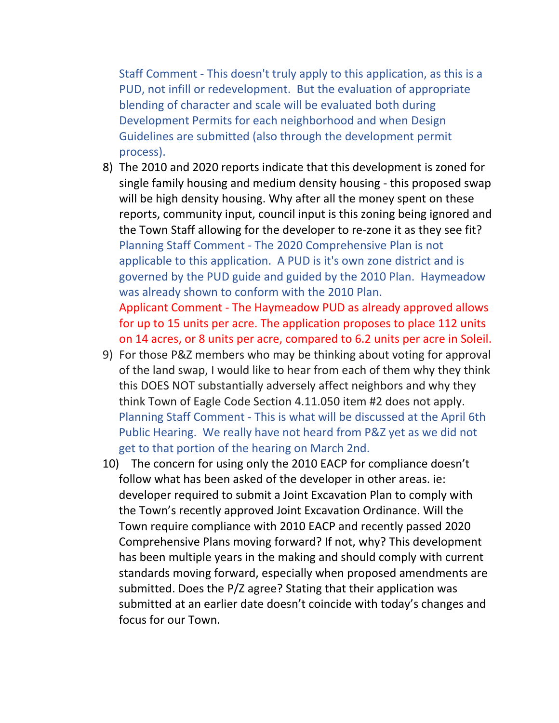Staff Comment - This doesn't truly apply to this application, as this is a PUD, not infill or redevelopment. But the evaluation of appropriate blending of character and scale will be evaluated both during Development Permits for each neighborhood and when Design Guidelines are submitted (also through the development permit process).

- 8) The 2010 and 2020 reports indicate that this development is zoned for single family housing and medium density housing - this proposed swap will be high density housing. Why after all the money spent on these reports, community input, council input is this zoning being ignored and the Town Staff allowing for the developer to re-zone it as they see fit? Planning Staff Comment - The 2020 Comprehensive Plan is not applicable to this application. A PUD is it's own zone district and is governed by the PUD guide and guided by the 2010 Plan. Haymeadow was already shown to conform with the 2010 Plan. Applicant Comment - The Haymeadow PUD as already approved allows for up to 15 units per acre. The application proposes to place 112 units on 14 acres, or 8 units per acre, compared to 6.2 units per acre in Soleil.
- 9) For those P&Z members who may be thinking about voting for approval of the land swap, I would like to hear from each of them why they think this DOES NOT substantially adversely affect neighbors and why they think Town of Eagle Code Section 4.11.050 item #2 does not apply. Planning Staff Comment - This is what will be discussed at the April 6th Public Hearing. We really have not heard from P&Z yet as we did not get to that portion of the hearing on March 2nd.
- 10) The concern for using only the 2010 EACP for compliance doesn't follow what has been asked of the developer in other areas. ie: developer required to submit a Joint Excavation Plan to comply with the Town's recently approved Joint Excavation Ordinance. Will the Town require compliance with 2010 EACP and recently passed 2020 Comprehensive Plans moving forward? If not, why? This development has been multiple years in the making and should comply with current standards moving forward, especially when proposed amendments are submitted. Does the P/Z agree? Stating that their application was submitted at an earlier date doesn't coincide with today's changes and focus for our Town.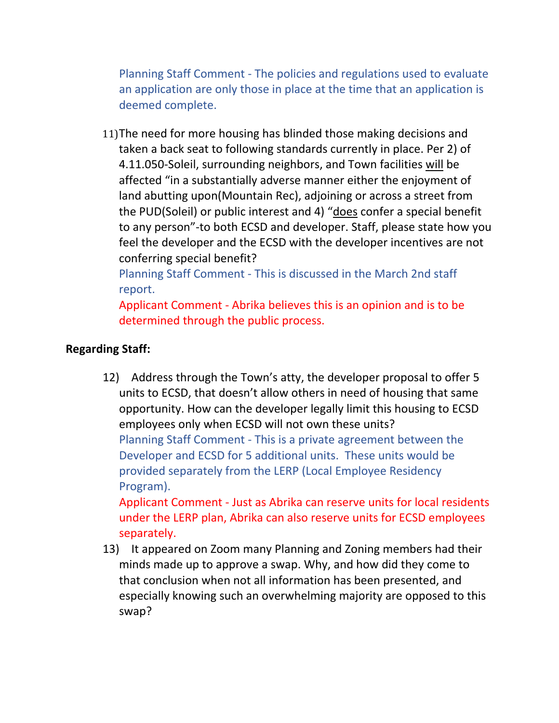Planning Staff Comment - The policies and regulations used to evaluate an application are only those in place at the time that an application is deemed complete.

11)The need for more housing has blinded those making decisions and taken a back seat to following standards currently in place. Per 2) of 4.11.050-Soleil, surrounding neighbors, and Town facilities will be affected "in a substantially adverse manner either the enjoyment of land abutting upon(Mountain Rec), adjoining or across a street from the PUD(Soleil) or public interest and 4) "does confer a special benefit to any person"-to both ECSD and developer. Staff, please state how you feel the developer and the ECSD with the developer incentives are not conferring special benefit?

Planning Staff Comment - This is discussed in the March 2nd staff report.

Applicant Comment - Abrika believes this is an opinion and is to be determined through the public process.

# **Regarding Staff:**

12) Address through the Town's atty, the developer proposal to offer 5 units to ECSD, that doesn't allow others in need of housing that same opportunity. How can the developer legally limit this housing to ECSD employees only when ECSD will not own these units? Planning Staff Comment - This is a private agreement between the Developer and ECSD for 5 additional units. These units would be provided separately from the LERP (Local Employee Residency Program). Applicant Comment - Just as Abrika can reserve units for local residents

under the LERP plan, Abrika can also reserve units for ECSD employees separately.

13) It appeared on Zoom many Planning and Zoning members had their minds made up to approve a swap. Why, and how did they come to that conclusion when not all information has been presented, and especially knowing such an overwhelming majority are opposed to this swap?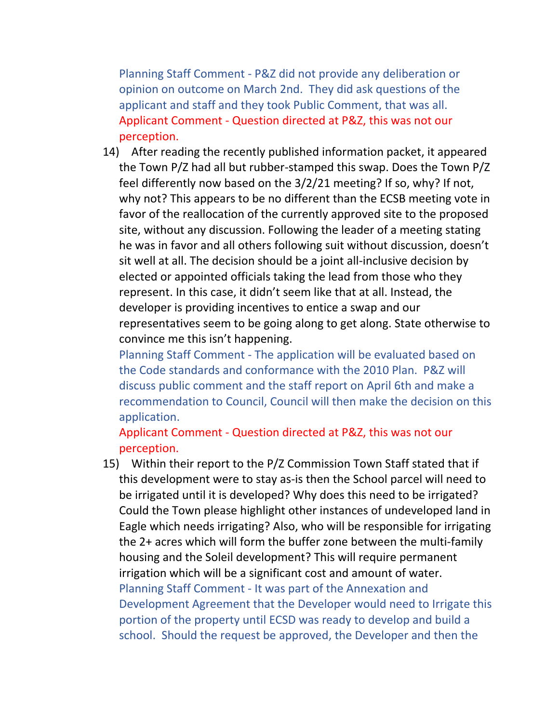Planning Staff Comment - P&Z did not provide any deliberation or opinion on outcome on March 2nd. They did ask questions of the applicant and staff and they took Public Comment, that was all. Applicant Comment - Question directed at P&Z, this was not our perception.

14) After reading the recently published information packet, it appeared the Town P/Z had all but rubber-stamped this swap. Does the Town P/Z feel differently now based on the 3/2/21 meeting? If so, why? If not, why not? This appears to be no different than the ECSB meeting vote in favor of the reallocation of the currently approved site to the proposed site, without any discussion. Following the leader of a meeting stating he was in favor and all others following suit without discussion, doesn't sit well at all. The decision should be a joint all-inclusive decision by elected or appointed officials taking the lead from those who they represent. In this case, it didn't seem like that at all. Instead, the developer is providing incentives to entice a swap and our representatives seem to be going along to get along. State otherwise to convince me this isn't happening.

Planning Staff Comment - The application will be evaluated based on the Code standards and conformance with the 2010 Plan. P&Z will discuss public comment and the staff report on April 6th and make a recommendation to Council, Council will then make the decision on this application.

Applicant Comment - Question directed at P&Z, this was not our perception.

15) Within their report to the P/Z Commission Town Staff stated that if this development were to stay as-is then the School parcel will need to be irrigated until it is developed? Why does this need to be irrigated? Could the Town please highlight other instances of undeveloped land in Eagle which needs irrigating? Also, who will be responsible for irrigating the 2+ acres which will form the buffer zone between the multi-family housing and the Soleil development? This will require permanent irrigation which will be a significant cost and amount of water. Planning Staff Comment - It was part of the Annexation and Development Agreement that the Developer would need to Irrigate this portion of the property until ECSD was ready to develop and build a school. Should the request be approved, the Developer and then the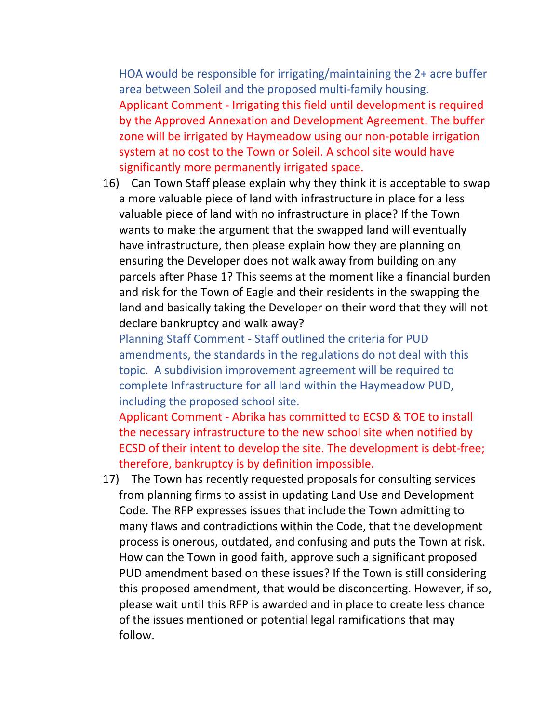HOA would be responsible for irrigating/maintaining the 2+ acre buffer area between Soleil and the proposed multi-family housing. Applicant Comment - Irrigating this field until development is required by the Approved Annexation and Development Agreement. The buffer zone will be irrigated by Haymeadow using our non-potable irrigation system at no cost to the Town or Soleil. A school site would have significantly more permanently irrigated space.

16) Can Town Staff please explain why they think it is acceptable to swap a more valuable piece of land with infrastructure in place for a less valuable piece of land with no infrastructure in place? If the Town wants to make the argument that the swapped land will eventually have infrastructure, then please explain how they are planning on ensuring the Developer does not walk away from building on any parcels after Phase 1? This seems at the moment like a financial burden and risk for the Town of Eagle and their residents in the swapping the land and basically taking the Developer on their word that they will not declare bankruptcy and walk away?

Planning Staff Comment - Staff outlined the criteria for PUD amendments, the standards in the regulations do not deal with this topic. A subdivision improvement agreement will be required to complete Infrastructure for all land within the Haymeadow PUD, including the proposed school site.

Applicant Comment - Abrika has committed to ECSD & TOE to install the necessary infrastructure to the new school site when notified by ECSD of their intent to develop the site. The development is debt-free; therefore, bankruptcy is by definition impossible.

17) The Town has recently requested proposals for consulting services from planning firms to assist in updating Land Use and Development Code. The RFP expresses issues that include the Town admitting to many flaws and contradictions within the Code, that the development process is onerous, outdated, and confusing and puts the Town at risk. How can the Town in good faith, approve such a significant proposed PUD amendment based on these issues? If the Town is still considering this proposed amendment, that would be disconcerting. However, if so, please wait until this RFP is awarded and in place to create less chance of the issues mentioned or potential legal ramifications that may follow.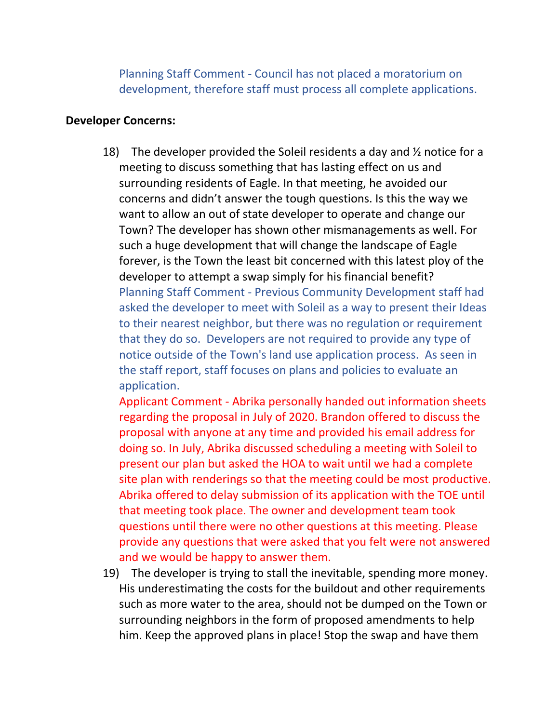Planning Staff Comment - Council has not placed a moratorium on development, therefore staff must process all complete applications.

#### **Developer Concerns:**

18) The developer provided the Soleil residents a day and  $\frac{1}{2}$  notice for a meeting to discuss something that has lasting effect on us and surrounding residents of Eagle. In that meeting, he avoided our concerns and didn't answer the tough questions. Is this the way we want to allow an out of state developer to operate and change our Town? The developer has shown other mismanagements as well. For such a huge development that will change the landscape of Eagle forever, is the Town the least bit concerned with this latest ploy of the developer to attempt a swap simply for his financial benefit? Planning Staff Comment - Previous Community Development staff had asked the developer to meet with Soleil as a way to present their Ideas to their nearest neighbor, but there was no regulation or requirement that they do so. Developers are not required to provide any type of notice outside of the Town's land use application process. As seen in the staff report, staff focuses on plans and policies to evaluate an application.

Applicant Comment - Abrika personally handed out information sheets regarding the proposal in July of 2020. Brandon offered to discuss the proposal with anyone at any time and provided his email address for doing so. In July, Abrika discussed scheduling a meeting with Soleil to present our plan but asked the HOA to wait until we had a complete site plan with renderings so that the meeting could be most productive. Abrika offered to delay submission of its application with the TOE until that meeting took place. The owner and development team took questions until there were no other questions at this meeting. Please provide any questions that were asked that you felt were not answered and we would be happy to answer them.

19) The developer is trying to stall the inevitable, spending more money. His underestimating the costs for the buildout and other requirements such as more water to the area, should not be dumped on the Town or surrounding neighbors in the form of proposed amendments to help him. Keep the approved plans in place! Stop the swap and have them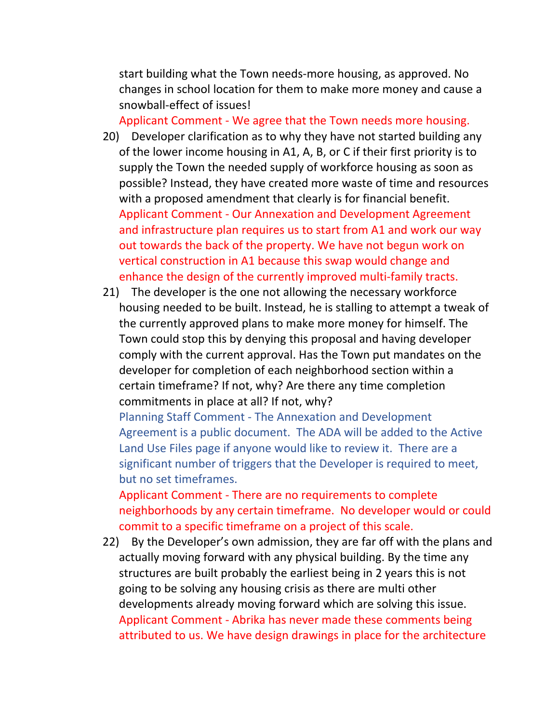start building what the Town needs-more housing, as approved. No changes in school location for them to make more money and cause a snowball-effect of issues!

Applicant Comment - We agree that the Town needs more housing.

- 20) Developer clarification as to why they have not started building any of the lower income housing in A1, A, B, or C if their first priority is to supply the Town the needed supply of workforce housing as soon as possible? Instead, they have created more waste of time and resources with a proposed amendment that clearly is for financial benefit. Applicant Comment - Our Annexation and Development Agreement and infrastructure plan requires us to start from A1 and work our way out towards the back of the property. We have not begun work on vertical construction in A1 because this swap would change and enhance the design of the currently improved multi-family tracts.
- 21) The developer is the one not allowing the necessary workforce housing needed to be built. Instead, he is stalling to attempt a tweak of the currently approved plans to make more money for himself. The Town could stop this by denying this proposal and having developer comply with the current approval. Has the Town put mandates on the developer for completion of each neighborhood section within a certain timeframe? If not, why? Are there any time completion commitments in place at all? If not, why?

Planning Staff Comment - The Annexation and Development Agreement is a public document. The ADA will be added to the Active Land Use Files page if anyone would like to review it. There are a significant number of triggers that the Developer is required to meet, but no set timeframes.

Applicant Comment - There are no requirements to complete neighborhoods by any certain timeframe. No developer would or could commit to a specific timeframe on a project of this scale.

22) By the Developer's own admission, they are far off with the plans and actually moving forward with any physical building. By the time any structures are built probably the earliest being in 2 years this is not going to be solving any housing crisis as there are multi other developments already moving forward which are solving this issue. Applicant Comment - Abrika has never made these comments being attributed to us. We have design drawings in place for the architecture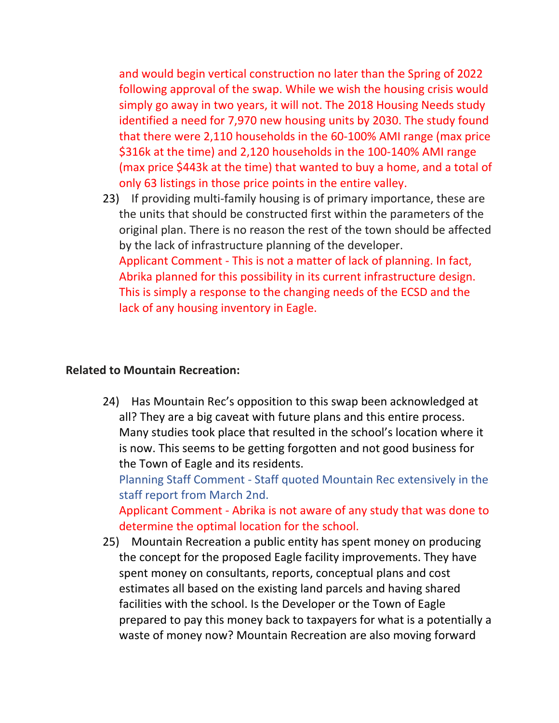and would begin vertical construction no later than the Spring of 2022 following approval of the swap. While we wish the housing crisis would simply go away in two years, it will not. The 2018 Housing Needs study identified a need for 7,970 new housing units by 2030. The study found that there were 2,110 households in the 60-100% AMI range (max price \$316k at the time) and 2,120 households in the 100-140% AMI range (max price \$443k at the time) that wanted to buy a home, and a total of only 63 listings in those price points in the entire valley.

23) If providing multi-family housing is of primary importance, these are the units that should be constructed first within the parameters of the original plan. There is no reason the rest of the town should be affected by the lack of infrastructure planning of the developer. Applicant Comment - This is not a matter of lack of planning. In fact, Abrika planned for this possibility in its current infrastructure design. This is simply a response to the changing needs of the ECSD and the lack of any housing inventory in Eagle.

### **Related to Mountain Recreation:**

24) Has Mountain Rec's opposition to this swap been acknowledged at all? They are a big caveat with future plans and this entire process. Many studies took place that resulted in the school's location where it is now. This seems to be getting forgotten and not good business for the Town of Eagle and its residents.

Planning Staff Comment - Staff quoted Mountain Rec extensively in the staff report from March 2nd.

Applicant Comment - Abrika is not aware of any study that was done to determine the optimal location for the school.

25) Mountain Recreation a public entity has spent money on producing the concept for the proposed Eagle facility improvements. They have spent money on consultants, reports, conceptual plans and cost estimates all based on the existing land parcels and having shared facilities with the school. Is the Developer or the Town of Eagle prepared to pay this money back to taxpayers for what is a potentially a waste of money now? Mountain Recreation are also moving forward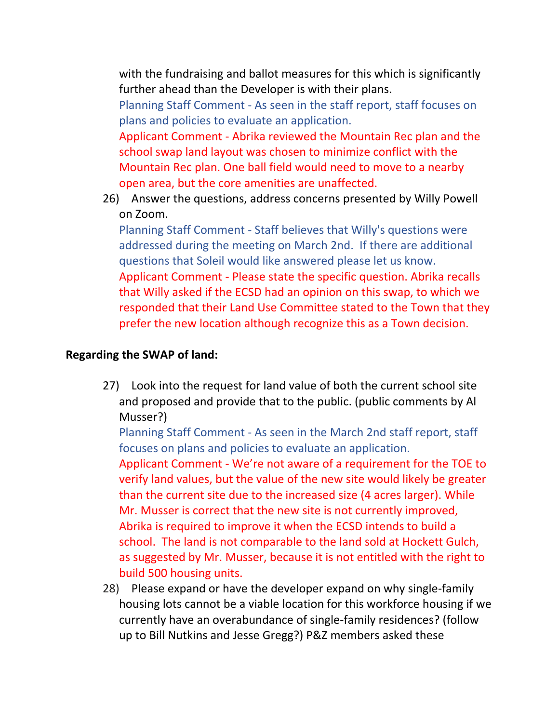with the fundraising and ballot measures for this which is significantly further ahead than the Developer is with their plans.

Planning Staff Comment - As seen in the staff report, staff focuses on plans and policies to evaluate an application.

Applicant Comment - Abrika reviewed the Mountain Rec plan and the school swap land layout was chosen to minimize conflict with the Mountain Rec plan. One ball field would need to move to a nearby open area, but the core amenities are unaffected.

26) Answer the questions, address concerns presented by Willy Powell on Zoom.

Planning Staff Comment - Staff believes that Willy's questions were addressed during the meeting on March 2nd. If there are additional questions that Soleil would like answered please let us know. Applicant Comment - Please state the specific question. Abrika recalls that Willy asked if the ECSD had an opinion on this swap, to which we responded that their Land Use Committee stated to the Town that they prefer the new location although recognize this as a Town decision.

## **Regarding the SWAP of land:**

27) Look into the request for land value of both the current school site and proposed and provide that to the public. (public comments by Al Musser?)

Planning Staff Comment - As seen in the March 2nd staff report, staff focuses on plans and policies to evaluate an application.

Applicant Comment - We're not aware of a requirement for the TOE to verify land values, but the value of the new site would likely be greater than the current site due to the increased size (4 acres larger). While Mr. Musser is correct that the new site is not currently improved, Abrika is required to improve it when the ECSD intends to build a school. The land is not comparable to the land sold at Hockett Gulch, as suggested by Mr. Musser, because it is not entitled with the right to build 500 housing units.

28) Please expand or have the developer expand on why single-family housing lots cannot be a viable location for this workforce housing if we currently have an overabundance of single-family residences? (follow up to Bill Nutkins and Jesse Gregg?) P&Z members asked these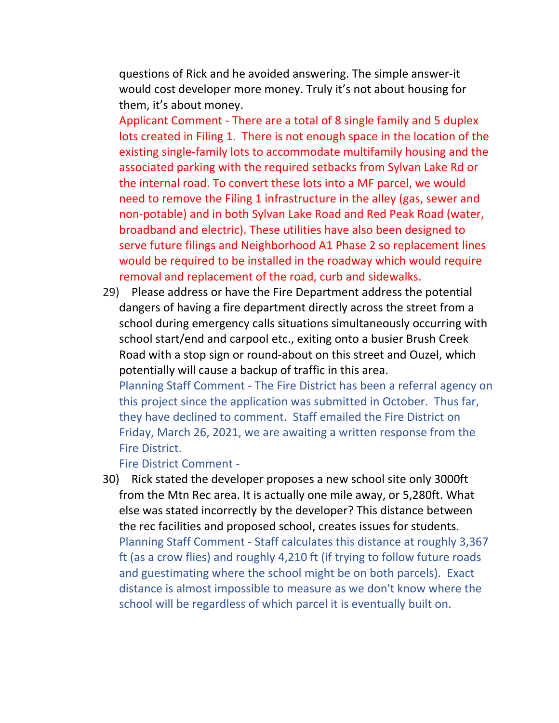questions of Rick and he avoided answering. The simple answer-it would cost developer more money. Truly it's not about housing for them, it's about money.

Applicant Comment - There are a total of 8 single family and 5 duplex lots created in Filing 1. There is not enough space in the location of the existing single-family lots to accommodate multifamily housing and the associated parking with the required setbacks from Sylvan Lake Rd or the internal road. To convert these lots into a MF parcel, we would need to remove the Filing 1 infrastructure in the alley (gas, sewer and non-potable) and in both Sylvan Lake Road and Red Peak Road (water, broadband and electric). These utilities have also been designed to serve future filings and Neighborhood A1 Phase 2 so replacement lines would be required to be installed in the roadway which would require removal and replacement of the road, curb and sidewalks.

29) Please address or have the Fire Department address the potential dangers of having a fire department directly across the street from a school during emergency calls situations simultaneously occurring with school start/end and carpool etc., exiting onto a busier Brush Creek Road with a stop sign or round-about on this street and Ouzel, which potentially will cause a backup of traffic in this area.

Planning Staff Comment - The Fire District has been a referral agency on this project since the application was submitted in October. Thus far, they have declined to comment. Staff emailed the Fire District on Friday, March 26, 2021, we are awaiting a written response from the Fire District.

Fire District Comment -

30) Rick stated the developer proposes a new school site only 3000ft from the Mtn Rec area. It is actually one mile away, or 5,280ft. What else was stated incorrectly by the developer? This distance between the rec facilities and proposed school, creates issues for students. Planning Staff Comment - Staff calculates this distance at roughly 3,367 ft (as a crow flies) and roughly 4,210 ft (if trying to follow future roads and guestimating where the school might be on both parcels). Exact distance is almost impossible to measure as we don't know where the school will be regardless of which parcel it is eventually built on.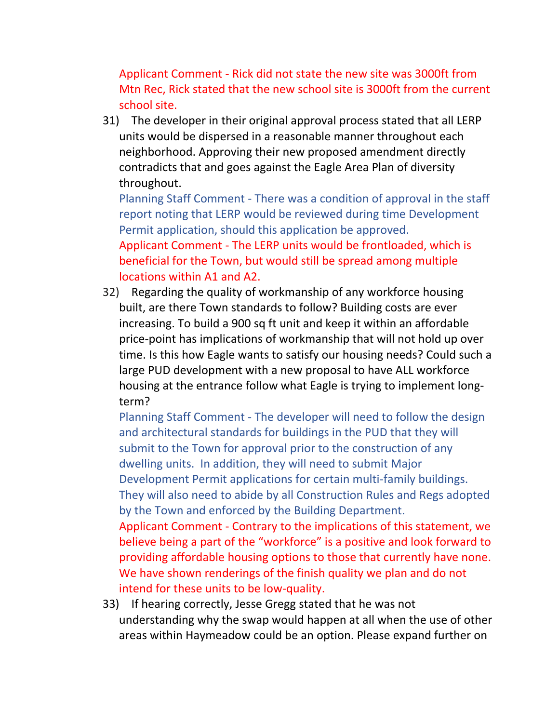Applicant Comment - Rick did not state the new site was 3000ft from Mtn Rec, Rick stated that the new school site is 3000ft from the current school site.

31) The developer in their original approval process stated that all LERP units would be dispersed in a reasonable manner throughout each neighborhood. Approving their new proposed amendment directly contradicts that and goes against the Eagle Area Plan of diversity throughout.

Planning Staff Comment - There was a condition of approval in the staff report noting that LERP would be reviewed during time Development Permit application, should this application be approved. Applicant Comment - The LERP units would be frontloaded, which is

beneficial for the Town, but would still be spread among multiple locations within A1 and A2.

32) Regarding the quality of workmanship of any workforce housing built, are there Town standards to follow? Building costs are ever increasing. To build a 900 sq ft unit and keep it within an affordable price-point has implications of workmanship that will not hold up over time. Is this how Eagle wants to satisfy our housing needs? Could such a large PUD development with a new proposal to have ALL workforce housing at the entrance follow what Eagle is trying to implement longterm?

Planning Staff Comment - The developer will need to follow the design and architectural standards for buildings in the PUD that they will submit to the Town for approval prior to the construction of any dwelling units. In addition, they will need to submit Major Development Permit applications for certain multi-family buildings. They will also need to abide by all Construction Rules and Regs adopted by the Town and enforced by the Building Department.

Applicant Comment - Contrary to the implications of this statement, we believe being a part of the "workforce" is a positive and look forward to providing affordable housing options to those that currently have none. We have shown renderings of the finish quality we plan and do not intend for these units to be low-quality.

33) If hearing correctly, Jesse Gregg stated that he was not understanding why the swap would happen at all when the use of other areas within Haymeadow could be an option. Please expand further on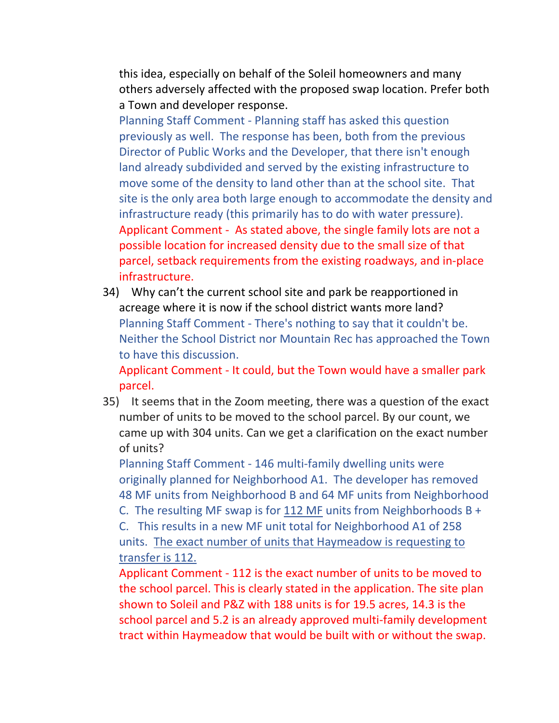this idea, especially on behalf of the Soleil homeowners and many others adversely affected with the proposed swap location. Prefer both a Town and developer response.

Planning Staff Comment - Planning staff has asked this question previously as well. The response has been, both from the previous Director of Public Works and the Developer, that there isn't enough land already subdivided and served by the existing infrastructure to move some of the density to land other than at the school site. That site is the only area both large enough to accommodate the density and infrastructure ready (this primarily has to do with water pressure). Applicant Comment - As stated above, the single family lots are not a possible location for increased density due to the small size of that parcel, setback requirements from the existing roadways, and in-place infrastructure.

34) Why can't the current school site and park be reapportioned in acreage where it is now if the school district wants more land? Planning Staff Comment - There's nothing to say that it couldn't be. Neither the School District nor Mountain Rec has approached the Town to have this discussion.

Applicant Comment - It could, but the Town would have a smaller park parcel.

35) It seems that in the Zoom meeting, there was a question of the exact number of units to be moved to the school parcel. By our count, we came up with 304 units. Can we get a clarification on the exact number of units?

Planning Staff Comment - 146 multi-family dwelling units were originally planned for Neighborhood A1. The developer has removed 48 MF units from Neighborhood B and 64 MF units from Neighborhood

C. The resulting MF swap is for  $112$  MF units from Neighborhoods B +

C. This results in a new MF unit total for Neighborhood A1 of 258 units. The exact number of units that Haymeadow is requesting to transfer is 112.

Applicant Comment - 112 is the exact number of units to be moved to the school parcel. This is clearly stated in the application. The site plan shown to Soleil and P&Z with 188 units is for 19.5 acres, 14.3 is the school parcel and 5.2 is an already approved multi-family development tract within Haymeadow that would be built with or without the swap.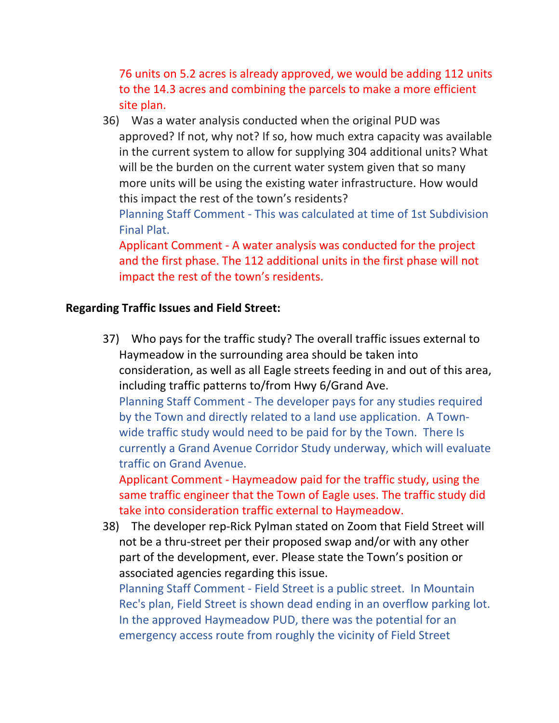76 units on 5.2 acres is already approved, we would be adding 112 units to the 14.3 acres and combining the parcels to make a more efficient site plan.

36) Was a water analysis conducted when the original PUD was approved? If not, why not? If so, how much extra capacity was available in the current system to allow for supplying 304 additional units? What will be the burden on the current water system given that so many more units will be using the existing water infrastructure. How would this impact the rest of the town's residents? Planning Staff Comment - This was calculated at time of 1st Subdivision Final Plat. Applicant Comment - A water analysis was conducted for the project

and the first phase. The 112 additional units in the first phase will not impact the rest of the town's residents.

## **Regarding Traffic Issues and Field Street:**

37) Who pays for the traffic study? The overall traffic issues external to Haymeadow in the surrounding area should be taken into consideration, as well as all Eagle streets feeding in and out of this area, including traffic patterns to/from Hwy 6/Grand Ave. Planning Staff Comment - The developer pays for any studies required by the Town and directly related to a land use application. A Townwide traffic study would need to be paid for by the Town. There Is currently a Grand Avenue Corridor Study underway, which will evaluate traffic on Grand Avenue.

Applicant Comment - Haymeadow paid for the traffic study, using the same traffic engineer that the Town of Eagle uses. The traffic study did take into consideration traffic external to Haymeadow.

38) The developer rep-Rick Pylman stated on Zoom that Field Street will not be a thru-street per their proposed swap and/or with any other part of the development, ever. Please state the Town's position or associated agencies regarding this issue.

Planning Staff Comment - Field Street is a public street. In Mountain Rec's plan, Field Street is shown dead ending in an overflow parking lot. In the approved Haymeadow PUD, there was the potential for an emergency access route from roughly the vicinity of Field Street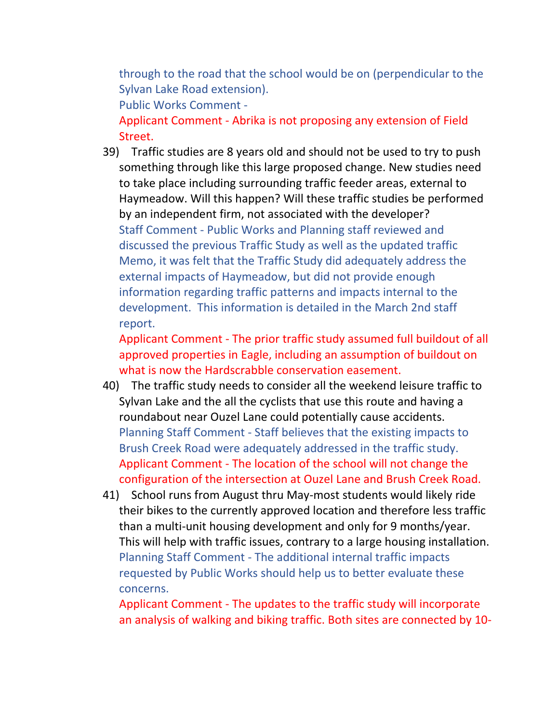through to the road that the school would be on (perpendicular to the Sylvan Lake Road extension).

Public Works Comment -

Applicant Comment - Abrika is not proposing any extension of Field Street.

39) Traffic studies are 8 years old and should not be used to try to push something through like this large proposed change. New studies need to take place including surrounding traffic feeder areas, external to Haymeadow. Will this happen? Will these traffic studies be performed by an independent firm, not associated with the developer? Staff Comment - Public Works and Planning staff reviewed and discussed the previous Traffic Study as well as the updated traffic Memo, it was felt that the Traffic Study did adequately address the external impacts of Haymeadow, but did not provide enough information regarding traffic patterns and impacts internal to the development. This information is detailed in the March 2nd staff report.

Applicant Comment - The prior traffic study assumed full buildout of all approved properties in Eagle, including an assumption of buildout on what is now the Hardscrabble conservation easement.

- 40) The traffic study needs to consider all the weekend leisure traffic to Sylvan Lake and the all the cyclists that use this route and having a roundabout near Ouzel Lane could potentially cause accidents. Planning Staff Comment - Staff believes that the existing impacts to Brush Creek Road were adequately addressed in the traffic study. Applicant Comment - The location of the school will not change the configuration of the intersection at Ouzel Lane and Brush Creek Road.
- 41) School runs from August thru May-most students would likely ride their bikes to the currently approved location and therefore less traffic than a multi-unit housing development and only for 9 months/year. This will help with traffic issues, contrary to a large housing installation. Planning Staff Comment - The additional internal traffic impacts requested by Public Works should help us to better evaluate these concerns.

Applicant Comment - The updates to the traffic study will incorporate an analysis of walking and biking traffic. Both sites are connected by 10-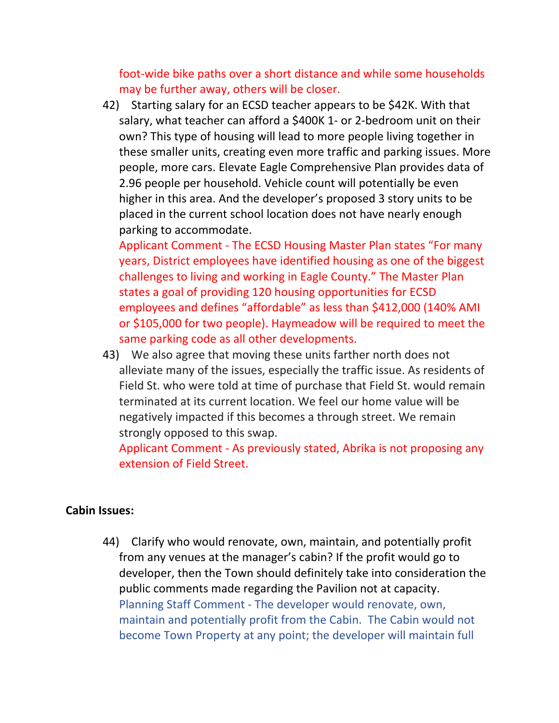foot-wide bike paths over a short distance and while some households may be further away, others will be closer.

42) Starting salary for an ECSD teacher appears to be \$42K. With that salary, what teacher can afford a \$400K 1- or 2-bedroom unit on their own? This type of housing will lead to more people living together in these smaller units, creating even more traffic and parking issues. More people, more cars. Elevate Eagle Comprehensive Plan provides data of 2.96 people per household. Vehicle count will potentially be even higher in this area. And the developer's proposed 3 story units to be placed in the current school location does not have nearly enough parking to accommodate.

Applicant Comment - The ECSD Housing Master Plan states "For many years, District employees have identified housing as one of the biggest challenges to living and working in Eagle County." The Master Plan states a goal of providing 120 housing opportunities for ECSD employees and defines "affordable" as less than \$412,000 (140% AMI or \$105,000 for two people). Haymeadow will be required to meet the same parking code as all other developments.

43) We also agree that moving these units farther north does not alleviate many of the issues, especially the traffic issue. As residents of Field St. who were told at time of purchase that Field St. would remain terminated at its current location. We feel our home value will be negatively impacted if this becomes a through street. We remain strongly opposed to this swap.

Applicant Comment - As previously stated, Abrika is not proposing any extension of Field Street.

### **Cabin Issues:**

44) Clarify who would renovate, own, maintain, and potentially profit from any venues at the manager's cabin? If the profit would go to developer, then the Town should definitely take into consideration the public comments made regarding the Pavilion not at capacity. Planning Staff Comment - The developer would renovate, own, maintain and potentially profit from the Cabin. The Cabin would not become Town Property at any point; the developer will maintain full